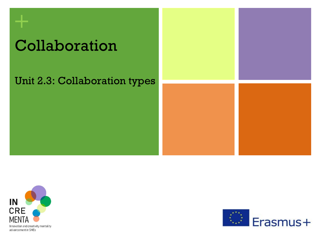# Collaboration

### Unit 2.3: Collaboration types



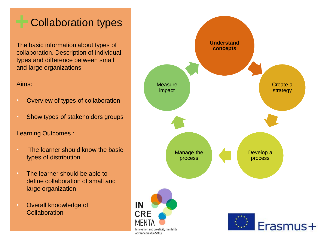### **+** Collaboration types

The basic information about types of collaboration. Description of individual types and difference between small and large organizations.

### Aims:

- Overview of types of collaboration
- Show types of stakeholders groups

### Learning Outcomes :

- The learner should know the basic types of distribution
- The learner should be able to define collaboration of small and large organization
- Overall knoowledge of **Collaboration**

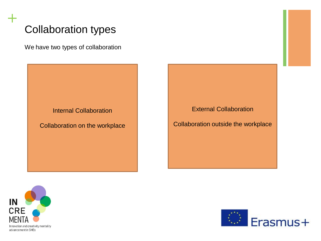### Collaboration types

We have two types of collaboration

Internal Collaboration

Collaboration on the workplace

External Collaboration

Collaboration outside the workplace



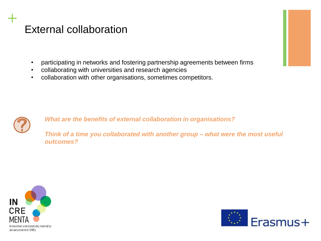### External collaboration

- participating in networks and fostering partnership agreements between firms
- collaborating with universities and research agencies
- collaboration with other organisations, sometimes competitors.



**+**

*What are the benefits of external collaboration in organisations?* 

*Think of a time you collaborated with another group – what were the most useful outcomes?*



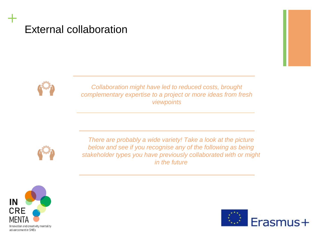### External collaboration



**+**

*Collaboration might have led to reduced costs, brought complementary expertise to a project or more ideas from fresh viewpoints*



*There are probably a wide variety! Take a look at the picture below and see if you recognise any of the following as being stakeholder types you have previously collaborated with or might in the future*



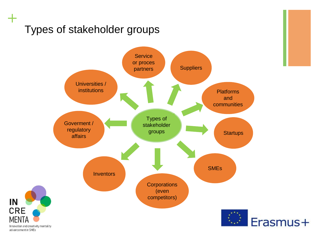### Types of stakeholder groups



advancement in SMEs

IN

**CRE** 

MENTA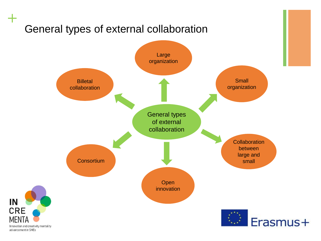# General types of external collaboration



advancement in SMEs

IN

**CRE** 

**MEN**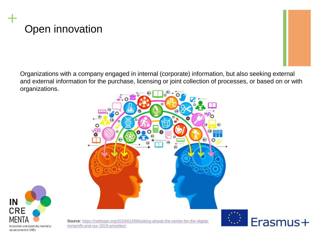## Open innovation

**+**

Organizations with a company engaged in internal (corporate) information, but also seeking external and external information for the purchase, licensing or joint collection of processes, or based on or with organizations.





[Source: https://nethope.org/2019/01/09/looking-ahead-the-center-for-the-digital](https://nethope.org/2019/01/09/looking-ahead-the-center-for-the-digital-nonprofit-and-our-2019-priorities/)nonprofit-and-our-2019-priorities/

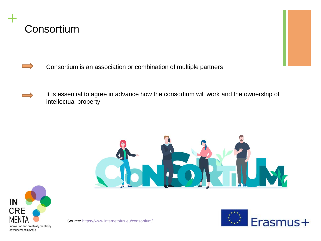



- Consortium is an association or combination of multiple partners
- It is essential to agree in advance how the consortium will work and the ownership of intellectual property





Source:<https://www.internetofus.eu/consortium/>

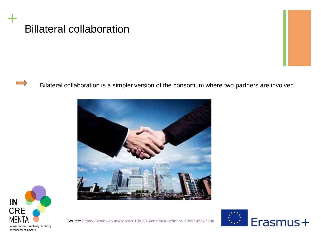



Bilateral collaboration is a simpler version of the consortium where two partners are involved.





Source:<https://expansion.mx/seps/2013/07/16/comercio-exterior-la-beta-mexicana>

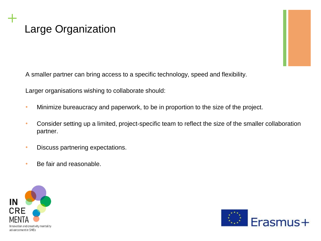### Large Organization

A smaller partner can bring access to a specific technology, speed and flexibility.

Larger organisations wishing to collaborate should:

- Minimize bureaucracy and paperwork, to be in proportion to the size of the project.
- Consider setting up a limited, project-specific team to reflect the size of the smaller collaboration partner.
- Discuss partnering expectations.
- Be fair and reasonable.



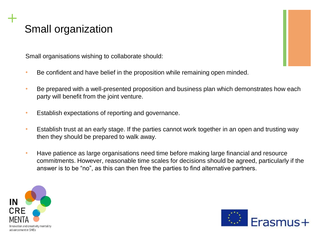### Small organization

Small organisations wishing to collaborate should:

- Be confident and have belief in the proposition while remaining open minded.
- Be prepared with a well-presented proposition and business plan which demonstrates how each party will benefit from the joint venture.
- Establish expectations of reporting and governance.
- Establish trust at an early stage. If the parties cannot work together in an open and trusting way then they should be prepared to walk away.
- Have patience as large organisations need time before making large financial and resource commitments. However, reasonable time scales for decisions should be agreed, particularly if the answer is to be "no", as this can then free the parties to find alternative partners.



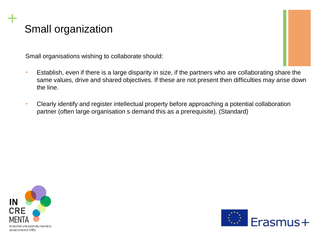### Small organization

Small organisations wishing to collaborate should:

- Establish, even if there is a large disparity in size, if the partners who are collaborating share the same values, drive and shared objectives. If these are not present then difficulties may arise down the line.
- Clearly identify and register intellectual property before approaching a potential collaboration partner (often large organisation s demand this as a prerequisite). (Standard)



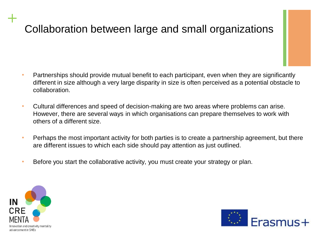### Collaboration between large and small organizations

- Partnerships should provide mutual benefit to each participant, even when they are significantly different in size although a very large disparity in size is often perceived as a potential obstacle to collaboration.
- Cultural differences and speed of decision-making are two areas where problems can arise. However, there are several ways in which organisations can prepare themselves to work with others of a different size.
- Perhaps the most important activity for both parties is to create a partnership agreement, but there are different issues to which each side should pay attention as just outlined.
- Before you start the collaborative activity, you must create your strategy or plan.



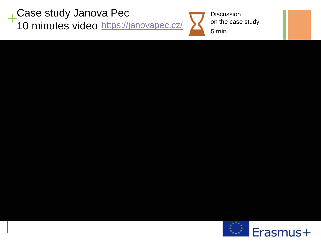**+** Case study Janova Pec 10 minutes video <https://janovapec.cz/>



**Discussion** on the case study.

**5 min**